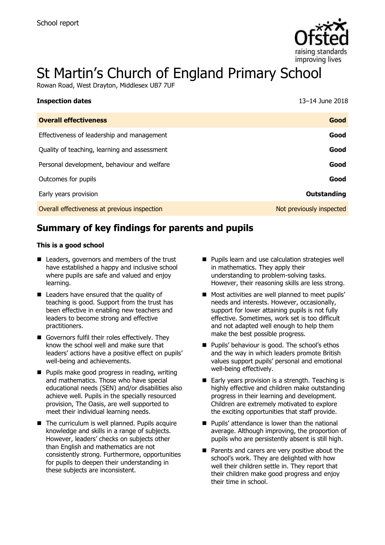

# St Martin's Church of England Primary School

Rowan Road, West Drayton, Middlesex UB7 7UF

| <b>Inspection dates</b>                      | 13-14 June 2018          |
|----------------------------------------------|--------------------------|
| <b>Overall effectiveness</b>                 | Good                     |
| Effectiveness of leadership and management   | Good                     |
| Quality of teaching, learning and assessment | Good                     |
| Personal development, behaviour and welfare  | Good                     |
| Outcomes for pupils                          | Good                     |
| Early years provision                        | Outstanding              |
| Overall effectiveness at previous inspection | Not previously inspected |

## **Summary of key findings for parents and pupils**

#### **This is a good school**

- Leaders, governors and members of the trust have established a happy and inclusive school where pupils are safe and valued and enjoy learning.
- Leaders have ensured that the quality of teaching is good. Support from the trust has been effective in enabling new teachers and leaders to become strong and effective practitioners.
- Governors fulfil their roles effectively. They know the school well and make sure that leaders' actions have a positive effect on pupils' well-being and achievements.
- **Pupils make good progress in reading, writing** and mathematics. Those who have special educational needs (SEN) and/or disabilities also achieve well. Pupils in the specially resourced provision, The Oasis, are well supported to meet their individual learning needs.
- $\blacksquare$  The curriculum is well planned. Pupils acquire knowledge and skills in a range of subjects. However, leaders' checks on subjects other than English and mathematics are not consistently strong. Furthermore, opportunities for pupils to deepen their understanding in these subjects are inconsistent.
- **Pupils learn and use calculation strategies well** in mathematics. They apply their understanding to problem-solving tasks. However, their reasoning skills are less strong.
- **Most activities are well planned to meet pupils'** needs and interests. However, occasionally, support for lower attaining pupils is not fully effective. Sometimes, work set is too difficult and not adapted well enough to help them make the best possible progress.
- **Pupils' behaviour is good. The school's ethos** and the way in which leaders promote British values support pupils' personal and emotional well-being effectively.
- Early years provision is a strength. Teaching is highly effective and children make outstanding progress in their learning and development. Children are extremely motivated to explore the exciting opportunities that staff provide.
- **Pupils' attendance is lower than the national** average. Although improving, the proportion of pupils who are persistently absent is still high.
- **Parents and carers are very positive about the** school's work. They are delighted with how well their children settle in. They report that their children make good progress and enjoy their time in school.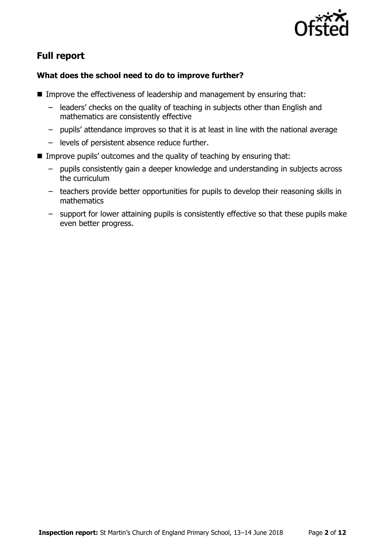

### **Full report**

#### **What does the school need to do to improve further?**

- Improve the effectiveness of leadership and management by ensuring that:
	- leaders' checks on the quality of teaching in subjects other than English and mathematics are consistently effective
	- pupils' attendance improves so that it is at least in line with the national average
	- levels of persistent absence reduce further.
- Improve pupils' outcomes and the quality of teaching by ensuring that:
	- pupils consistently gain a deeper knowledge and understanding in subjects across the curriculum
	- teachers provide better opportunities for pupils to develop their reasoning skills in mathematics
	- support for lower attaining pupils is consistently effective so that these pupils make even better progress.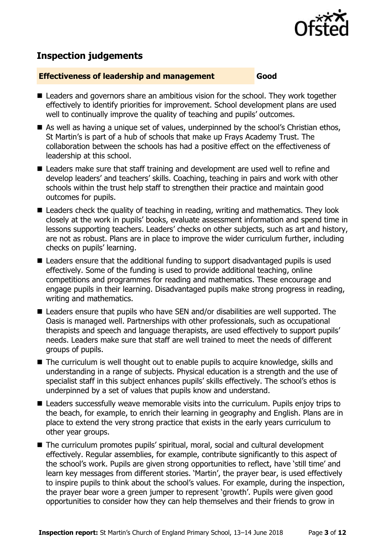

### **Inspection judgements**

#### **Effectiveness of leadership and management Good**

- Leaders and governors share an ambitious vision for the school. They work together effectively to identify priorities for improvement. School development plans are used well to continually improve the quality of teaching and pupils' outcomes.
- As well as having a unique set of values, underpinned by the school's Christian ethos, St Martin's is part of a hub of schools that make up Frays Academy Trust. The collaboration between the schools has had a positive effect on the effectiveness of leadership at this school.
- Leaders make sure that staff training and development are used well to refine and develop leaders' and teachers' skills. Coaching, teaching in pairs and work with other schools within the trust help staff to strengthen their practice and maintain good outcomes for pupils.
- Leaders check the quality of teaching in reading, writing and mathematics. They look closely at the work in pupils' books, evaluate assessment information and spend time in lessons supporting teachers. Leaders' checks on other subjects, such as art and history, are not as robust. Plans are in place to improve the wider curriculum further, including checks on pupils' learning.
- Leaders ensure that the additional funding to support disadvantaged pupils is used effectively. Some of the funding is used to provide additional teaching, online competitions and programmes for reading and mathematics. These encourage and engage pupils in their learning. Disadvantaged pupils make strong progress in reading, writing and mathematics.
- Leaders ensure that pupils who have SEN and/or disabilities are well supported. The Oasis is managed well. Partnerships with other professionals, such as occupational therapists and speech and language therapists, are used effectively to support pupils' needs. Leaders make sure that staff are well trained to meet the needs of different groups of pupils.
- The curriculum is well thought out to enable pupils to acquire knowledge, skills and understanding in a range of subjects. Physical education is a strength and the use of specialist staff in this subject enhances pupils' skills effectively. The school's ethos is underpinned by a set of values that pupils know and understand.
- Leaders successfully weave memorable visits into the curriculum. Pupils enjoy trips to the beach, for example, to enrich their learning in geography and English. Plans are in place to extend the very strong practice that exists in the early years curriculum to other year groups.
- The curriculum promotes pupils' spiritual, moral, social and cultural development effectively. Regular assemblies, for example, contribute significantly to this aspect of the school's work. Pupils are given strong opportunities to reflect, have 'still time' and learn key messages from different stories. 'Martin', the prayer bear, is used effectively to inspire pupils to think about the school's values. For example, during the inspection, the prayer bear wore a green jumper to represent 'growth'. Pupils were given good opportunities to consider how they can help themselves and their friends to grow in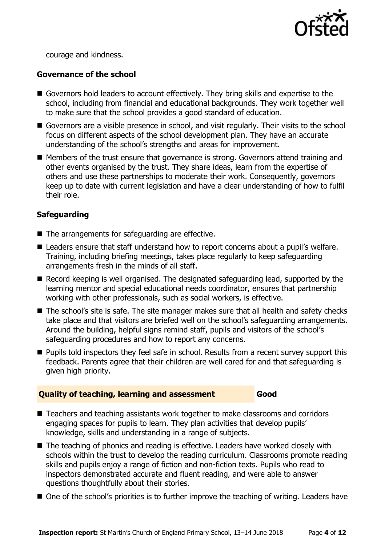

courage and kindness.

#### **Governance of the school**

- Governors hold leaders to account effectively. They bring skills and expertise to the school, including from financial and educational backgrounds. They work together well to make sure that the school provides a good standard of education.
- Governors are a visible presence in school, and visit regularly. Their visits to the school focus on different aspects of the school development plan. They have an accurate understanding of the school's strengths and areas for improvement.
- Members of the trust ensure that governance is strong. Governors attend training and other events organised by the trust. They share ideas, learn from the expertise of others and use these partnerships to moderate their work. Consequently, governors keep up to date with current legislation and have a clear understanding of how to fulfil their role.

#### **Safeguarding**

- The arrangements for safeguarding are effective.
- Leaders ensure that staff understand how to report concerns about a pupil's welfare. Training, including briefing meetings, takes place regularly to keep safeguarding arrangements fresh in the minds of all staff.
- Record keeping is well organised. The designated safeguarding lead, supported by the learning mentor and special educational needs coordinator, ensures that partnership working with other professionals, such as social workers, is effective.
- The school's site is safe. The site manager makes sure that all health and safety checks take place and that visitors are briefed well on the school's safeguarding arrangements. Around the building, helpful signs remind staff, pupils and visitors of the school's safeguarding procedures and how to report any concerns.
- **Pupils told inspectors they feel safe in school. Results from a recent survey support this** feedback. Parents agree that their children are well cared for and that safeguarding is given high priority.

#### **Quality of teaching, learning and assessment Good**

- Teachers and teaching assistants work together to make classrooms and corridors engaging spaces for pupils to learn. They plan activities that develop pupils' knowledge, skills and understanding in a range of subjects.
- The teaching of phonics and reading is effective. Leaders have worked closely with schools within the trust to develop the reading curriculum. Classrooms promote reading skills and pupils enjoy a range of fiction and non-fiction texts. Pupils who read to inspectors demonstrated accurate and fluent reading, and were able to answer questions thoughtfully about their stories.
- One of the school's priorities is to further improve the teaching of writing. Leaders have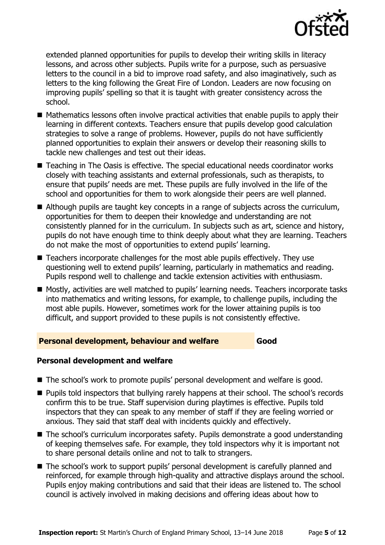

extended planned opportunities for pupils to develop their writing skills in literacy lessons, and across other subjects. Pupils write for a purpose, such as persuasive letters to the council in a bid to improve road safety, and also imaginatively, such as letters to the king following the Great Fire of London. Leaders are now focusing on improving pupils' spelling so that it is taught with greater consistency across the school.

- Mathematics lessons often involve practical activities that enable pupils to apply their learning in different contexts. Teachers ensure that pupils develop good calculation strategies to solve a range of problems. However, pupils do not have sufficiently planned opportunities to explain their answers or develop their reasoning skills to tackle new challenges and test out their ideas.
- Teaching in The Oasis is effective. The special educational needs coordinator works closely with teaching assistants and external professionals, such as therapists, to ensure that pupils' needs are met. These pupils are fully involved in the life of the school and opportunities for them to work alongside their peers are well planned.
- Although pupils are taught key concepts in a range of subjects across the curriculum, opportunities for them to deepen their knowledge and understanding are not consistently planned for in the curriculum. In subjects such as art, science and history, pupils do not have enough time to think deeply about what they are learning. Teachers do not make the most of opportunities to extend pupils' learning.
- Teachers incorporate challenges for the most able pupils effectively. They use questioning well to extend pupils' learning, particularly in mathematics and reading. Pupils respond well to challenge and tackle extension activities with enthusiasm.
- Mostly, activities are well matched to pupils' learning needs. Teachers incorporate tasks into mathematics and writing lessons, for example, to challenge pupils, including the most able pupils. However, sometimes work for the lower attaining pupils is too difficult, and support provided to these pupils is not consistently effective.

#### **Personal development, behaviour and welfare Good**

### **Personal development and welfare**

- The school's work to promote pupils' personal development and welfare is good.
- **Pupils told inspectors that bullying rarely happens at their school. The school's records** confirm this to be true. Staff supervision during playtimes is effective. Pupils told inspectors that they can speak to any member of staff if they are feeling worried or anxious. They said that staff deal with incidents quickly and effectively.
- The school's curriculum incorporates safety. Pupils demonstrate a good understanding of keeping themselves safe. For example, they told inspectors why it is important not to share personal details online and not to talk to strangers.
- The school's work to support pupils' personal development is carefully planned and reinforced, for example through high-quality and attractive displays around the school. Pupils enjoy making contributions and said that their ideas are listened to. The school council is actively involved in making decisions and offering ideas about how to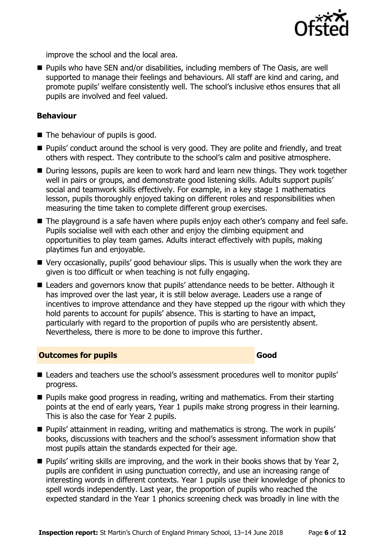

improve the school and the local area.

■ Pupils who have SEN and/or disabilities, including members of The Oasis, are well supported to manage their feelings and behaviours. All staff are kind and caring, and promote pupils' welfare consistently well. The school's inclusive ethos ensures that all pupils are involved and feel valued.

#### **Behaviour**

- $\blacksquare$  The behaviour of pupils is good.
- **Pupils'** conduct around the school is very good. They are polite and friendly, and treat others with respect. They contribute to the school's calm and positive atmosphere.
- During lessons, pupils are keen to work hard and learn new things. They work together well in pairs or groups, and demonstrate good listening skills. Adults support pupils' social and teamwork skills effectively. For example, in a key stage 1 mathematics lesson, pupils thoroughly enjoyed taking on different roles and responsibilities when measuring the time taken to complete different group exercises.
- The playground is a safe haven where pupils enjoy each other's company and feel safe. Pupils socialise well with each other and enjoy the climbing equipment and opportunities to play team games. Adults interact effectively with pupils, making playtimes fun and enjoyable.
- Very occasionally, pupils' good behaviour slips. This is usually when the work they are given is too difficult or when teaching is not fully engaging.
- Leaders and governors know that pupils' attendance needs to be better. Although it has improved over the last year, it is still below average. Leaders use a range of incentives to improve attendance and they have stepped up the rigour with which they hold parents to account for pupils' absence. This is starting to have an impact, particularly with regard to the proportion of pupils who are persistently absent. Nevertheless, there is more to be done to improve this further.

#### **Outcomes for pupils Good Good**

- Leaders and teachers use the school's assessment procedures well to monitor pupils' progress.
- **Pupils make good progress in reading, writing and mathematics. From their starting** points at the end of early years, Year 1 pupils make strong progress in their learning. This is also the case for Year 2 pupils.
- Pupils' attainment in reading, writing and mathematics is strong. The work in pupils' books, discussions with teachers and the school's assessment information show that most pupils attain the standards expected for their age.
- Pupils' writing skills are improving, and the work in their books shows that by Year 2, pupils are confident in using punctuation correctly, and use an increasing range of interesting words in different contexts. Year 1 pupils use their knowledge of phonics to spell words independently. Last year, the proportion of pupils who reached the expected standard in the Year 1 phonics screening check was broadly in line with the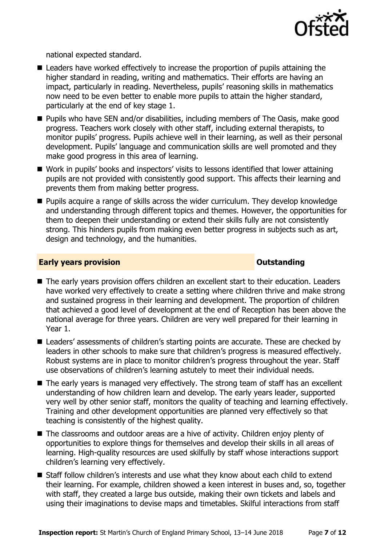

national expected standard.

- Leaders have worked effectively to increase the proportion of pupils attaining the higher standard in reading, writing and mathematics. Their efforts are having an impact, particularly in reading. Nevertheless, pupils' reasoning skills in mathematics now need to be even better to enable more pupils to attain the higher standard, particularly at the end of key stage 1.
- Pupils who have SEN and/or disabilities, including members of The Oasis, make good progress. Teachers work closely with other staff, including external therapists, to monitor pupils' progress. Pupils achieve well in their learning, as well as their personal development. Pupils' language and communication skills are well promoted and they make good progress in this area of learning.
- Work in pupils' books and inspectors' visits to lessons identified that lower attaining pupils are not provided with consistently good support. This affects their learning and prevents them from making better progress.
- **Pupils acquire a range of skills across the wider curriculum. They develop knowledge** and understanding through different topics and themes. However, the opportunities for them to deepen their understanding or extend their skills fully are not consistently strong. This hinders pupils from making even better progress in subjects such as art, design and technology, and the humanities.

#### **Early years provision CONSTANDING TO A RESEARCH CONSTANDING TO A RESEARCH CONSTANDING TO A RESEARCH CONSTANDING TO A RESEARCH CONSTANDING TO A RESEARCH CONSTANDING TO A RESEARCH CONSTANDING TO A RESEARCH CONSTANDING TO**

- The early years provision offers children an excellent start to their education. Leaders have worked very effectively to create a setting where children thrive and make strong and sustained progress in their learning and development. The proportion of children that achieved a good level of development at the end of Reception has been above the national average for three years. Children are very well prepared for their learning in Year 1.
- Leaders' assessments of children's starting points are accurate. These are checked by leaders in other schools to make sure that children's progress is measured effectively. Robust systems are in place to monitor children's progress throughout the year. Staff use observations of children's learning astutely to meet their individual needs.
- The early years is managed very effectively. The strong team of staff has an excellent understanding of how children learn and develop. The early years leader, supported very well by other senior staff, monitors the quality of teaching and learning effectively. Training and other development opportunities are planned very effectively so that teaching is consistently of the highest quality.
- The classrooms and outdoor areas are a hive of activity. Children enjoy plenty of opportunities to explore things for themselves and develop their skills in all areas of learning. High-quality resources are used skilfully by staff whose interactions support children's learning very effectively.
- Staff follow children's interests and use what they know about each child to extend their learning. For example, children showed a keen interest in buses and, so, together with staff, they created a large bus outside, making their own tickets and labels and using their imaginations to devise maps and timetables. Skilful interactions from staff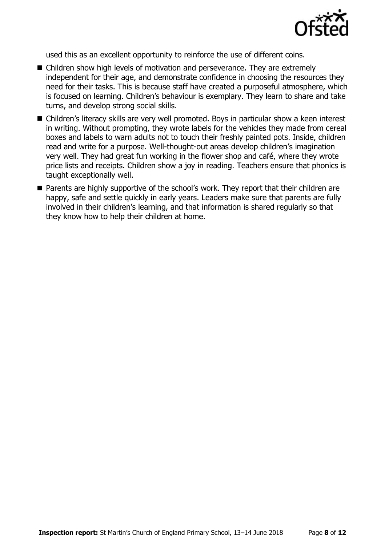

used this as an excellent opportunity to reinforce the use of different coins.

- Children show high levels of motivation and perseverance. They are extremely independent for their age, and demonstrate confidence in choosing the resources they need for their tasks. This is because staff have created a purposeful atmosphere, which is focused on learning. Children's behaviour is exemplary. They learn to share and take turns, and develop strong social skills.
- Children's literacy skills are very well promoted. Boys in particular show a keen interest in writing. Without prompting, they wrote labels for the vehicles they made from cereal boxes and labels to warn adults not to touch their freshly painted pots. Inside, children read and write for a purpose. Well-thought-out areas develop children's imagination very well. They had great fun working in the flower shop and café, where they wrote price lists and receipts. Children show a joy in reading. Teachers ensure that phonics is taught exceptionally well.
- Parents are highly supportive of the school's work. They report that their children are happy, safe and settle quickly in early years. Leaders make sure that parents are fully involved in their children's learning, and that information is shared regularly so that they know how to help their children at home.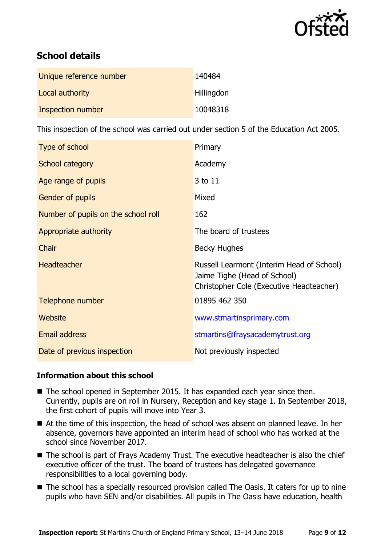

### **School details**

| Unique reference number | 140484            |
|-------------------------|-------------------|
| Local authority         | <b>Hillingdon</b> |
| Inspection number       | 10048318          |

This inspection of the school was carried out under section 5 of the Education Act 2005.

| Type of school                      | Primary                                                                                                               |
|-------------------------------------|-----------------------------------------------------------------------------------------------------------------------|
| School category                     | Academy                                                                                                               |
| Age range of pupils                 | 3 to 11                                                                                                               |
| <b>Gender of pupils</b>             | Mixed                                                                                                                 |
| Number of pupils on the school roll | 162                                                                                                                   |
| Appropriate authority               | The board of trustees                                                                                                 |
| Chair                               | Becky Hughes                                                                                                          |
| <b>Headteacher</b>                  | Russell Learmont (Interim Head of School)<br>Jaime Tighe (Head of School)<br>Christopher Cole (Executive Headteacher) |
| Telephone number                    | 01895 462 350                                                                                                         |
| Website                             | www.stmartinsprimary.com                                                                                              |
| Email address                       | stmartins@fraysacademytrust.org                                                                                       |
| Date of previous inspection         | Not previously inspected                                                                                              |

#### **Information about this school**

- The school opened in September 2015. It has expanded each year since then. Currently, pupils are on roll in Nursery, Reception and key stage 1. In September 2018, the first cohort of pupils will move into Year 3.
- At the time of this inspection, the head of school was absent on planned leave. In her absence, governors have appointed an interim head of school who has worked at the school since November 2017.
- The school is part of Frays Academy Trust. The executive headteacher is also the chief executive officer of the trust. The board of trustees has delegated governance responsibilities to a local governing body.
- The school has a specially resourced provision called The Oasis. It caters for up to nine pupils who have SEN and/or disabilities. All pupils in The Oasis have education, health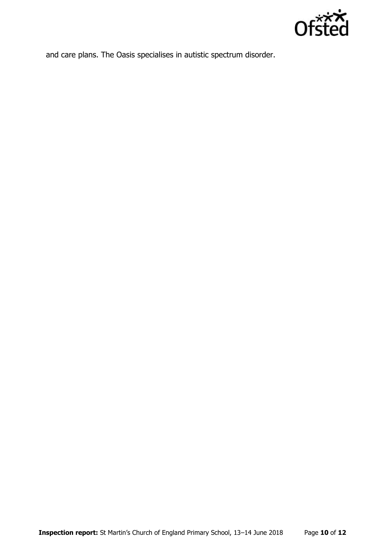

and care plans. The Oasis specialises in autistic spectrum disorder.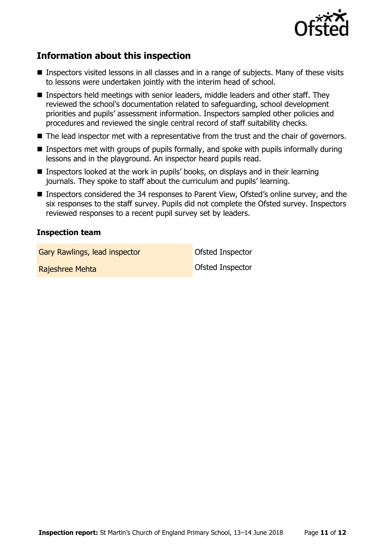

### **Information about this inspection**

- Inspectors visited lessons in all classes and in a range of subiects. Many of these visits to lessons were undertaken jointly with the interim head of school.
- Inspectors held meetings with senior leaders, middle leaders and other staff. They reviewed the school's documentation related to safeguarding, school development priorities and pupils' assessment information. Inspectors sampled other policies and procedures and reviewed the single central record of staff suitability checks.
- The lead inspector met with a representative from the trust and the chair of governors.
- Inspectors met with groups of pupils formally, and spoke with pupils informally during lessons and in the playground. An inspector heard pupils read.
- Inspectors looked at the work in pupils' books, on displays and in their learning journals. They spoke to staff about the curriculum and pupils' learning.
- Inspectors considered the 34 responses to Parent View, Ofsted's online survey, and the six responses to the staff survey. Pupils did not complete the Ofsted survey. Inspectors reviewed responses to a recent pupil survey set by leaders.

#### **Inspection team**

Gary Rawlings, lead inspector **Cary Constanting Constant** Ofsted Inspector

Rajeshree Mehta **National Accord Contract Contract Contract Contract Contract Contract Contract Contract Contract Contract Contract Contract Contract Contract Contract Contract Contract Contract Contract Contract Contract**